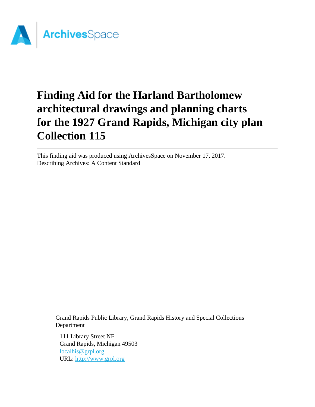

# **Finding Aid for the Harland Bartholomew architectural drawings and planning charts for the 1927 Grand Rapids, Michigan city plan Collection 115**

This finding aid was produced using ArchivesSpace on November 17, 2017. Describing Archives: A Content Standard

Grand Rapids Public Library, Grand Rapids History and Special Collections Department

111 Library Street NE Grand Rapids, Michigan 49503 [localhis@grpl.org](mailto:localhis@grpl.org) URL:<http://www.grpl.org>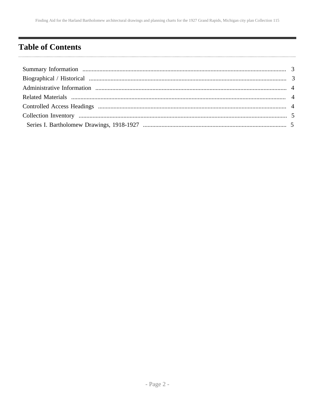# <span id="page-1-0"></span>**Table of Contents**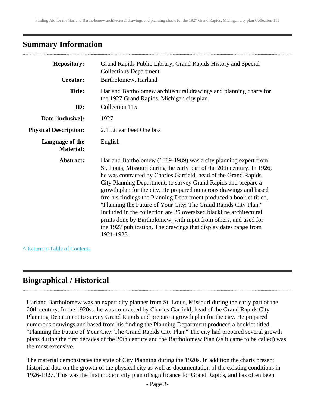### <span id="page-2-0"></span>**Summary Information**

| <b>Repository:</b><br><b>Creator:</b> | Grand Rapids Public Library, Grand Rapids History and Special<br><b>Collections Department</b><br>Bartholomew, Harland                                                                                                                                                                                                                                                                                                                                                                                                                                                                                                                                                                                                      |
|---------------------------------------|-----------------------------------------------------------------------------------------------------------------------------------------------------------------------------------------------------------------------------------------------------------------------------------------------------------------------------------------------------------------------------------------------------------------------------------------------------------------------------------------------------------------------------------------------------------------------------------------------------------------------------------------------------------------------------------------------------------------------------|
| <b>Title:</b><br>ID:                  | Harland Bartholomew architectural drawings and planning charts for<br>the 1927 Grand Rapids, Michigan city plan<br>Collection 115                                                                                                                                                                                                                                                                                                                                                                                                                                                                                                                                                                                           |
| Date [inclusive]:                     | 1927                                                                                                                                                                                                                                                                                                                                                                                                                                                                                                                                                                                                                                                                                                                        |
| <b>Physical Description:</b>          | 2.1 Linear Feet One box                                                                                                                                                                                                                                                                                                                                                                                                                                                                                                                                                                                                                                                                                                     |
| Language of the<br><b>Material:</b>   | English                                                                                                                                                                                                                                                                                                                                                                                                                                                                                                                                                                                                                                                                                                                     |
| Abstract:                             | Harland Bartholomew (1889-1989) was a city planning expert from<br>St. Louis, Missouri during the early part of the 20th century. In 1926,<br>he was contracted by Charles Garfield, head of the Grand Rapids<br>City Planning Department, to survey Grand Rapids and prepare a<br>growth plan for the city. He prepared numerous drawings and based<br>frm his findings the Planning Department produced a booklet titled,<br>"Planning the Future of Your City: The Grand Rapids City Plan."<br>Included in the collection are 35 oversized blackline architectural<br>prints done by Bartholomew, with input from others, and used for<br>the 1927 publication. The drawings that display dates range from<br>1921-1923. |

**^** [Return to Table of Contents](#page-1-0)

## <span id="page-2-1"></span>**Biographical / Historical**

Harland Bartholomew was an expert city planner from St. Louis, Missouri during the early part of the 20th century. In the 1920ss, he was contracted by Charles Garfield, head of the Grand Rapids City Planning Department to survey Grand Rapids and prepare a growth plan for the city. He prepared numerous drawings and based from his finding the Planning Department produced a booklet titled, "Planning the Future of Your City: The Grand Rapids City Plan." The city had prepared several growth plans during the first decades of the 20th century and the Bartholomew Plan (as it came to be called) was the most extensive.

The material demonstrates the state of City Planning during the 1920s. In addition the charts present historical data on the growth of the physical city as well as documentation of the existing conditions in 1926-1927. This was the first modern city plan of significance for Grand Rapids, and has often been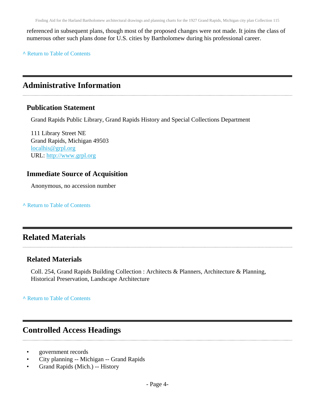referenced in subsequent plans, though most of the proposed changes were not made. It joins the class of numerous other such plans done for U.S. cities by Bartholomew during his professional career.

**^** [Return to Table of Contents](#page-1-0)

### <span id="page-3-0"></span>**Administrative Information**

#### **Publication Statement**

Grand Rapids Public Library, Grand Rapids History and Special Collections Department

111 Library Street NE Grand Rapids, Michigan 49503 [localhis@grpl.org](mailto:localhis@grpl.org) URL:<http://www.grpl.org>

### **Immediate Source of Acquisition**

Anonymous, no accession number

**^** [Return to Table of Contents](#page-1-0)

### <span id="page-3-1"></span>**Related Materials**

#### **Related Materials**

Coll. 254, Grand Rapids Building Collection : Architects & Planners, Architecture & Planning, Historical Preservation, Landscape Architecture

**^** [Return to Table of Contents](#page-1-0)

### <span id="page-3-2"></span>**Controlled Access Headings**

- government records
- City planning -- Michigan -- Grand Rapids
- Grand Rapids (Mich.) -- History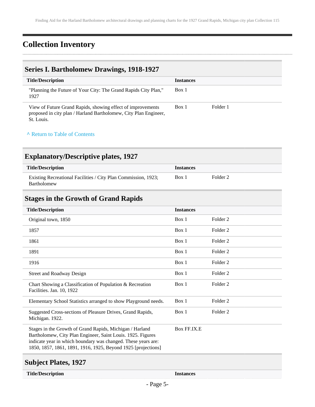# <span id="page-4-0"></span>**Collection Inventory**

### <span id="page-4-1"></span>**Series I. Bartholomew Drawings, 1918-1927**

| <b>Title/Description</b>                                                                                                                      | <b>Instances</b> |          |
|-----------------------------------------------------------------------------------------------------------------------------------------------|------------------|----------|
| "Planning the Future of Your City: The Grand Rapids City Plan,"<br>1927                                                                       | Box 1            |          |
| View of Future Grand Rapids, showing effect of improvements<br>proposed in city plan / Harland Bartholomew, City Plan Engineer,<br>St. Louis. | Box 1            | Folder 1 |

#### **^** [Return to Table of Contents](#page-1-0)

### **Explanatory/Descriptive plates, 1927**

| <b>Title/Description</b>                                                      | <b>Instances</b> |          |
|-------------------------------------------------------------------------------|------------------|----------|
| Existing Recreational Facilities / City Plan Commission, 1923;<br>Bartholomew | Box 1            | Folder 2 |

### **Stages in the Growth of Grand Rapids**

| <b>Instances</b> |                     |
|------------------|---------------------|
| Box 1            | Folder 2            |
| Box 1            | Folder 2            |
| Box 1            | Folder 2            |
| Box 1            | Folder 2            |
| Box 1            | Folder 2            |
| Box 1            | Folder <sub>2</sub> |
| Box 1            | Folder 2            |
| Box 1            | Folder 2            |
| Box 1            | Folder <sub>2</sub> |
| Box FF.IX.E      |                     |
|                  |                     |

### **Subject Plates, 1927**

#### **Title/Description Instances**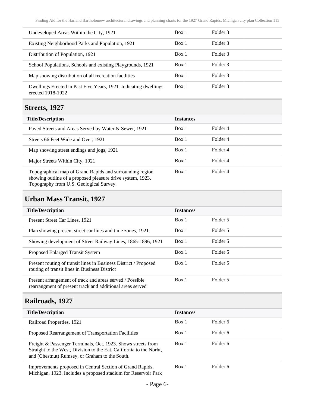| Undeveloped Areas Within the City, 1921                                               | Box 1 | Folder 3 |
|---------------------------------------------------------------------------------------|-------|----------|
| Existing Neighborhood Parks and Population, 1921                                      | Box 1 | Folder 3 |
| Distribution of Population, 1921                                                      | Box 1 | Folder 3 |
| School Populations, Schools and existing Playgrounds, 1921                            | Box 1 | Folder 3 |
| Map showing distribution of all recreation facilities                                 | Box 1 | Folder 3 |
| Dwellings Erected in Past Five Years, 1921. Indicating dwellings<br>erected 1918-1922 | Box 1 | Folder 3 |

### **Streets, 1927**

| <b>Title/Description</b>                                                                                                                                          | <b>Instances</b> |          |
|-------------------------------------------------------------------------------------------------------------------------------------------------------------------|------------------|----------|
| Paved Streets and Areas Served by Water & Sewer, 1921                                                                                                             | Box 1            | Folder 4 |
| Streets 66 Feet Wide and Over, 1921                                                                                                                               | Box 1            | Folder 4 |
| Map showing street endings and jogs, 1921                                                                                                                         | Box 1            | Folder 4 |
| Major Streets Within City, 1921                                                                                                                                   | Box 1            | Folder 4 |
| Topographical map of Grand Rapids and surrounding region<br>showing outline of a proposed pleasure drive system, 1923.<br>Topography from U.S. Geological Survey. | Box 1            | Folder 4 |

### **Urban Mass Transit, 1927**

| <b>Title/Description</b>                                                                                              | <b>Instances</b> |          |
|-----------------------------------------------------------------------------------------------------------------------|------------------|----------|
| Present Street Car Lines, 1921                                                                                        | Box 1            | Folder 5 |
| Plan showing present street car lines and time zones, 1921.                                                           | Box 1            | Folder 5 |
| Showing development of Street Railway Lines, 1865-1896, 1921                                                          | Box 1            | Folder 5 |
| Proposed Enlarged Transit System                                                                                      | Box 1            | Folder 5 |
| Present routing of transit lines in Business District / Proposed<br>routing of transit lines in Business District     | Box 1            | Folder 5 |
| Present arrangement of track and areas served / Possible<br>rearrangment of present track and additional areas served | Box 1            | Folder 5 |

# **Railroads, 1927**

| <b>Title/Description</b>                                                                                                                                                              | <b>Instances</b> |          |
|---------------------------------------------------------------------------------------------------------------------------------------------------------------------------------------|------------------|----------|
| Railroad Properties, 1921                                                                                                                                                             | Box 1            | Folder 6 |
| Proposed Rearrangement of Transportation Facilities                                                                                                                                   | Box 1            | Folder 6 |
| Freight & Passenger Terminals, Oct. 1923. Shows streets from<br>Straight to the West, Division to the Eat, California to the Norht,<br>and (Chestnut) Rumsey, or Graham to the South. | Box 1            | Folder 6 |
| Improvements proposed in Central Section of Grand Rapids,<br>Michigan, 1923. Includes a proposed stadium for Reservoir Park                                                           | Box 1            | Folder 6 |